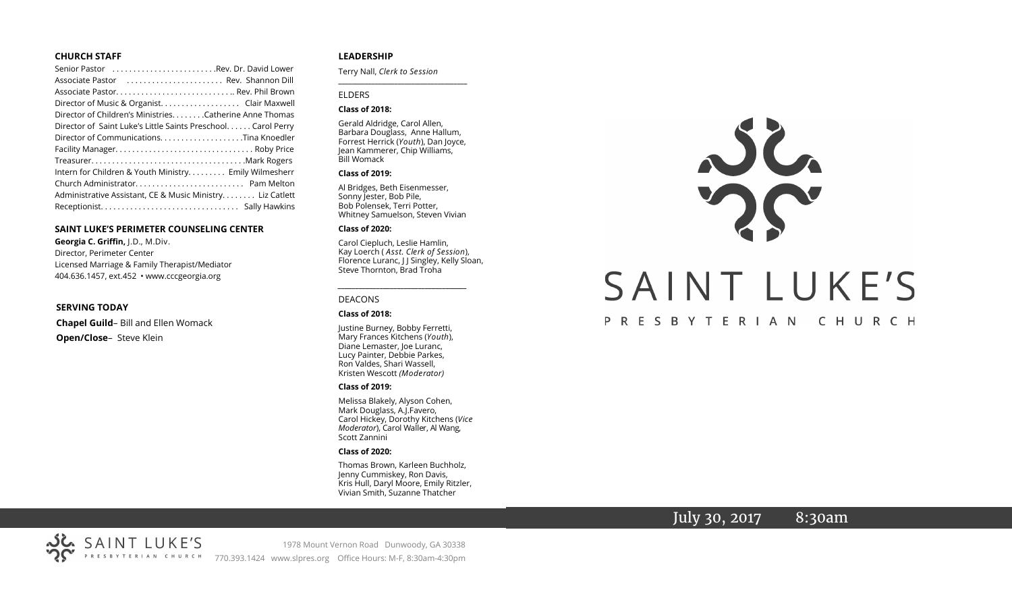#### **CHURCH STAFF**

| Senior Pastor Rev. Dr. David Lower                           |
|--------------------------------------------------------------|
| Associate Pastor (etc Rev. Shannon Dill                      |
|                                                              |
| Director of Music & Organist. Clair Maxwell                  |
| Director of Children's Ministries. Catherine Anne Thomas     |
| Director of Saint Luke's Little Saints Preschool Carol Perry |
| Director of CommunicationsTina Knoedler                      |
|                                                              |
|                                                              |
| Intern for Children & Youth Ministry Emily Wilmesherr        |
|                                                              |
| Administrative Assistant, CE & Music Ministry Liz Catlett    |
|                                                              |

#### **SAINT LUKE'S PERIMETER COUNSELING CENTER**

**Georgia C. Griffin,** J.D., M.Div. Director, Perimeter Center Licensed Marriage & Family Therapist/Mediator 404.636.1457, ext.452 • www.cccgeorgia.org

#### **SERVING TODAY**

**Chapel Guild**– Bill and Ellen Womack **Open/Close**– Steve Klein

#### **LEADERSHIP**

Terry Nall, *Clerk to Session* 

#### ELDERS

#### **Class of 2018:**

Gerald Aldridge, Carol Allen, Barbara Douglass, Anne Hallum, Forrest Herrick (*Youth*), Dan Joyce, Jean Kammerer, Chip Williams, Bill Womack

**\_\_\_\_\_\_\_\_\_\_\_\_\_\_\_\_\_\_\_\_\_\_\_\_\_\_\_\_\_\_\_\_\_\_\_\_\_\_\_**

#### **Class of 2019:**

Al Bridges, Beth Eisenmesser, Sonny Jester, Bob Pile, Bob Polensek, Terri Potter, Whitney Samuelson, Steven Vivian

#### **Class of 2020:**

Carol Ciepluch, Leslie Hamlin, Kay Loerch ( *Asst. Clerk of Session*), Florence Luranc, J J Singley, Kelly Sloan, Steve Thornton, Brad Troha

*\_\_\_\_\_\_\_\_\_\_\_\_\_\_\_\_\_\_\_\_\_\_\_\_\_\_\_\_\_\_\_\_\_\_\_\_\_*

#### DEACONS

#### **Class of 2018:**

Justine Burney, Bobby Ferretti, Mary Frances Kitchens (*Youth*), Diane Lemaster, Joe Luranc, Lucy Painter, Debbie Parkes, Ron Valdes, Shari Wassell, Kristen Wescott *(Moderator)*

#### **Class of 2019:**

Melissa Blakely, Alyson Cohen, Mark Douglass, A.J.Favero, Carol Hickey, Dorothy Kitchens (*Vice Moderator*), Carol Waller, Al Wang, Scott Zannini

#### **Class of 2020:**

Thomas Brown, Karleen Buchholz, Jenny Cummiskey, Ron Davis, Kris Hull, Daryl Moore, Emily Ritzler, Vivian Smith, Suzanne Thatcher

# JL. SAINT LUKE'S

# PRESBYTERIAN CHURCH

# July 30, 2017 8:30am



1978 Mount Vernon Road Dunwoody, GA 30338 770.393.1424 www.slpres.org Office Hours: M-F, 8:30am-4:30pm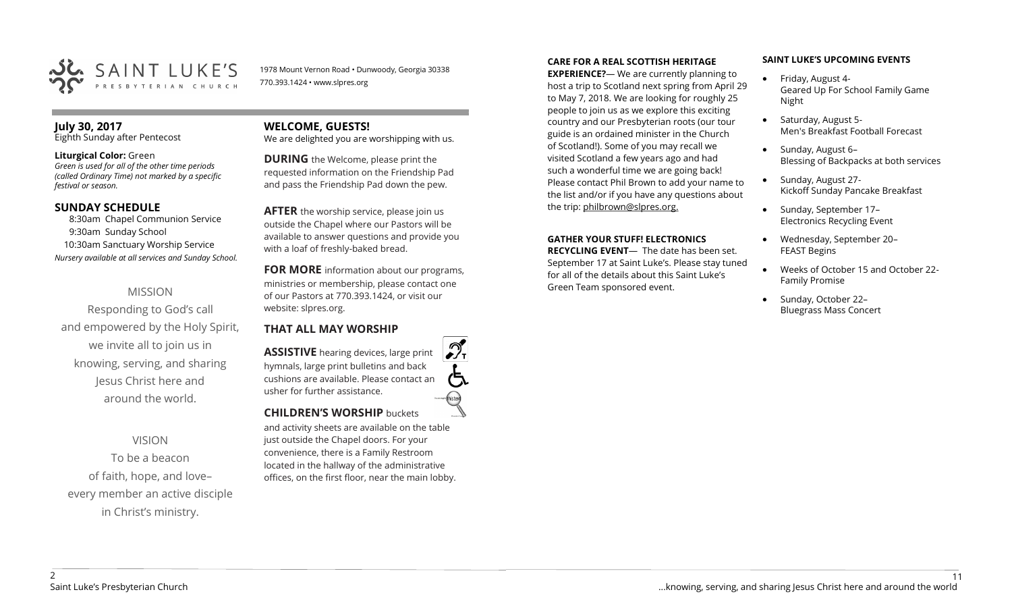

1978 Mount Vernon Road • Dunwoody, Georgia 30338 770.393.1424 • www.slpres.org

# **July 30, 2017**

Eighth Sunday after Pentecost

#### **Liturgical Color:** Green

*Green is used for all of the other time periods (called Ordinary Time) not marked by a specific festival or season.*

#### **SUNDAY SCHEDULE**

8:30am Chapel Communion Service 9:30am Sunday School 10:30am Sanctuary Worship Service *Nursery available at all services and Sunday School.*

# MISSION

Responding to God's call and empowered by the Holy Spirit, we invite all to join us in knowing, serving, and sharing Jesus Christ here and around the world.

# VISION

To be a beacon of faith, hope, and love– every member an active disciple in Christ's ministry.

# **WELCOME, GUESTS!**

We are delighted you are worshipping with us.

**DURING** the Welcome, please print the requested information on the Friendship Pad and pass the Friendship Pad down the pew.

**AFTER** the worship service, please join us outside the Chapel where our Pastors will be available to answer questions and provide you with a loaf of freshly-baked bread.

**FOR MORE** information about our programs, ministries or membership, please contact one of our Pastors at 770.393.1424, or visit our website: slpres.org.

# **THAT ALL MAY WORSHIP**

**ASSISTIVE** hearing devices, large print hymnals, large print bulletins and back cushions are available. Please contact an usher for further assistance. **CHILDREN'S WORSHIP** buckets

and activity sheets are available on the table just outside the Chapel doors. For your convenience, there is a Family Restroom located in the hallway of the administrative offices, on the first floor, near the main lobby.

#### **CARE FOR A REAL SCOTTISH HERITAGE**

**EXPERIENCE?**— We are currently planning to host a trip to Scotland next spring from April 29 to May 7, 2018. We are looking for roughly 25 people to join us as we explore this exciting country and our Presbyterian roots (our tour guide is an ordained minister in the Church of Scotland!). Some of you may recall we visited Scotland a few years ago and had such a wonderful time we are going back! Please contact Phil Brown to add your name to the list and/or if you have any questions about the trip: philbrown@slpres.org.

#### **GATHER YOUR STUFF! ELECTRONICS**

**RECYCLING EVENT**— The date has been set. September 17 at Saint Luke's. Please stay tuned for all of the details about this Saint Luke's Green Team sponsored event.

#### **SAINT LUKE'S UPCOMING EVENTS**

- Friday, August 4-Geared Up For School Family Game Night
- Saturday, August 5-Men's Breakfast Football Forecast
- Sunday, August 6-Blessing of Backpacks at both services
- Sunday, August 27-Kickoff Sunday Pancake Breakfast
- Sunday, September 17-Electronics Recycling Event
- Wednesday, September 20– FEAST Begins
- Weeks of October 15 and October 22- Family Promise
- Sunday, October 22-Bluegrass Mass Concert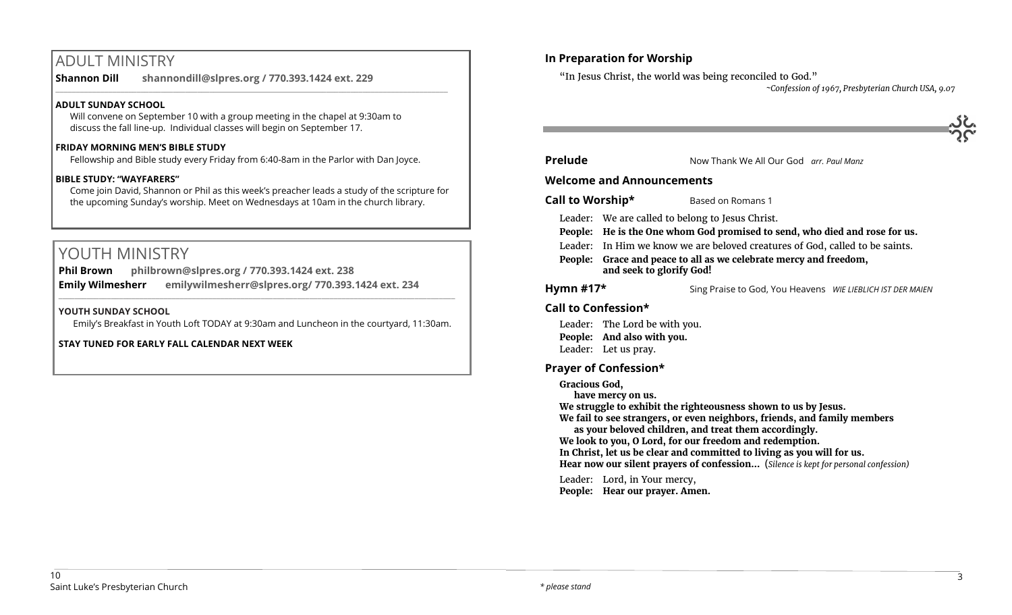# ADULT MINISTRY

**Shannon Dill shannondill@slpres.org / 770.393.1424 ext. 229**   $\_$  ,  $\_$  ,  $\_$  ,  $\_$  ,  $\_$  ,  $\_$  ,  $\_$  ,  $\_$  ,  $\_$  ,  $\_$  ,  $\_$  ,  $\_$  ,  $\_$  ,  $\_$  ,  $\_$  ,  $\_$  ,  $\_$  ,  $\_$  ,  $\_$  ,  $\_$ 

#### **ADULT SUNDAY SCHOOL**

Will convene on September 10 with a group meeting in the chapel at 9:30am to discuss the fall line-up. Individual classes will begin on September 17.

#### **FRIDAY MORNING MEN'S BIBLE STUDY**

Fellowship and Bible study every Friday from 6:40-8am in the Parlor with Dan Joyce.

#### **BIBLE STUDY: "WAYFARERS"**

Come join David, Shannon or Phil as this week's preacher leads a study of the scripture for the upcoming Sunday's worship. Meet on Wednesdays at 10am in the church library.

# YOUTH MINISTRY

**Phil Brown philbrown@slpres.org / 770.393.1424 ext. 238 Emily Wilmesherr emilywilmesherr@slpres.org/ 770.393.1424 ext. 234**   $\_$  ,  $\_$  ,  $\_$  ,  $\_$  ,  $\_$  ,  $\_$  ,  $\_$  ,  $\_$  ,  $\_$  ,  $\_$  ,  $\_$  ,  $\_$  ,  $\_$  ,  $\_$  ,  $\_$  ,  $\_$  ,  $\_$  ,  $\_$  ,  $\_$  ,  $\_$ 

# **YOUTH SUNDAY SCHOOL**

Emily's Breakfast in Youth Loft TODAY at 9:30am and Luncheon in the courtyard, 11:30am.

**STAY TUNED FOR EARLY FALL CALENDAR NEXT WEEK**

# **In Preparation for Worship**

"In Jesus Christ, the world was being reconciled to God."

*~Confession of 1967, Presbyterian Church USA, 9.07*

| Prelude | Now Thank We All Our God arr. Paul Manz |  |
|---------|-----------------------------------------|--|

#### **Welcome and Announcements**

**Call to Worship\*** Based on Romans 1

Leader: We are called to belong to Jesus Christ.

- **People: He is the One whom God promised to send, who died and rose for us.**
- Leader: In Him we know we are beloved creatures of God, called to be saints.
- **People: Grace and peace to all as we celebrate mercy and freedom, and seek to glorify God!**

**Hymn #17\*** Sing Praise to God, You Heavens *WIE LIEBLICH IST DER MAIEN*

# **Call to Confession\***

Leader: The Lord be with you.

**People: And also with you.**

# Leader: Let us pray.

# **Prayer of Confession\***

**Gracious God,** 

**have mercy on us.** 

**We struggle to exhibit the righteousness shown to us by Jesus.** 

**We fail to see strangers, or even neighbors, friends, and family members as your beloved children, and treat them accordingly.** 

**We look to you, O Lord, for our freedom and redemption.** 

**In Christ, let us be clear and committed to living as you will for us. Hear now our silent prayers of confession…** (*Silence is kept for personal confession)* 

Leader: Lord, in Your mercy, **People: Hear our prayer. Amen.**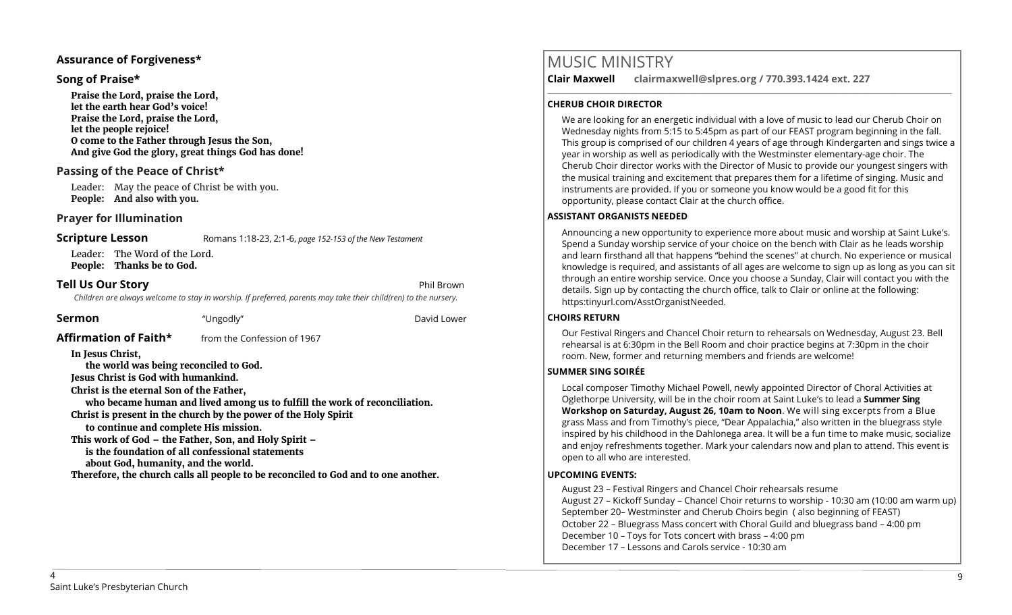#### **Assurance of Forgiveness\***

#### **Song of Praise\***

**Praise the Lord, praise the Lord, let the earth hear God's voice! Praise the Lord, praise the Lord, let the people rejoice! O come to the Father through Jesus the Son, And give God the glory, great things God has done!** 

# **Passing of the Peace of Christ\***

Leader: May the peace of Christ be with you. **People: And also with you.**

# **Prayer for Illumination**

**Scripture Lesson** Romans 1:18-23, 2:1-6, *page 152-153 of the New Testament* 

Leader: The Word of the Lord. **People: Thanks be to God.**

# **Tell Us Our Story Phil Brown**

*Children are always welcome to stay in worship. If preferred, parents may take their child(ren) to the nursery.*

| Sermon | "Ungodly" | David Lower |
|--------|-----------|-------------|
|        |           |             |

**Affirmation of Faith\*** from the Confession of 1967

**In Jesus Christ,** 

**the world was being reconciled to God.**

**Jesus Christ is God with humankind.**

**Christ is the eternal Son of the Father,**

**who became human and lived among us to fulfill the work of reconciliation. Christ is present in the church by the power of the Holy Spirit to continue and complete His mission.**

**This work of God – the Father, Son, and Holy Spirit –**

**is the foundation of all confessional statements** 

**about God, humanity, and the world.** 

**Therefore, the church calls all people to be reconciled to God and to one another.**

# MUSIC MINISTRY

**Clair Maxwell clairmaxwell@slpres.org / 770.393.1424 ext. 227**  \_\_\_\_\_\_\_\_\_\_\_\_\_\_\_\_\_\_\_\_\_\_\_\_\_\_\_\_\_\_\_\_\_\_\_\_\_\_\_\_\_\_\_\_\_\_\_\_\_\_\_\_\_\_\_\_\_\_\_\_\_\_\_\_\_\_\_\_\_\_\_\_\_\_\_\_\_\_\_\_\_\_\_\_\_\_\_\_\_\_\_\_\_\_\_\_\_\_\_\_

#### **CHERUB CHOIR DIRECTOR**

We are looking for an energetic individual with a love of music to lead our Cherub Choir on Wednesday nights from 5:15 to 5:45pm as part of our FEAST program beginning in the fall. This group is comprised of our children 4 years of age through Kindergarten and sings twice a year in worship as well as periodically with the Westminster elementary-age choir. The Cherub Choir director works with the Director of Music to provide our youngest singers with the musical training and excitement that prepares them for a lifetime of singing. Music and instruments are provided. If you or someone you know would be a good fit for this opportunity, please contact Clair at the church office.

#### **ASSISTANT ORGANISTS NEEDED**

Announcing a new opportunity to experience more about music and worship at Saint Luke's. Spend a Sunday worship service of your choice on the bench with Clair as he leads worship and learn firsthand all that happens "behind the scenes" at church. No experience or musical knowledge is required, and assistants of all ages are welcome to sign up as long as you can sit through an entire worship service. Once you choose a Sunday, Clair will contact you with the details. Sign up by contacting the church office, talk to Clair or online at the following: https:tinyurl.com/AsstOrganistNeeded.

#### **CHOIRS RETURN**

Our Festival Ringers and Chancel Choir return to rehearsals on Wednesday, August 23. Bell rehearsal is at 6:30pm in the Bell Room and choir practice begins at 7:30pm in the choir room. New, former and returning members and friends are welcome!

#### **SUMMER SING SOIRÉE**

Local composer Timothy Michael Powell, newly appointed Director of Choral Activities at Oglethorpe University, will be in the choir room at Saint Luke's to lead a **Summer Sing Workshop on Saturday, August 26, 10am to Noon**. We will sing excerpts from a Blue grass Mass and from Timothy's piece, "Dear Appalachia," also written in the bluegrass style inspired by his childhood in the Dahlonega area. It will be a fun time to make music, socialize and enjoy refreshments together. Mark your calendars now and plan to attend. This event is open to all who are interested.

#### **UPCOMING EVENTS:**

August 23 – Festival Ringers and Chancel Choir rehearsals resume August 27 – Kickoff Sunday – Chancel Choir returns to worship - 10:30 am (10:00 am warm up) September 20– Westminster and Cherub Choirs begin ( also beginning of FEAST) October 22 – Bluegrass Mass concert with Choral Guild and bluegrass band – 4:00 pm December 10 – Toys for Tots concert with brass – 4:00 pm December 17 – Lessons and Carols service - 10:30 am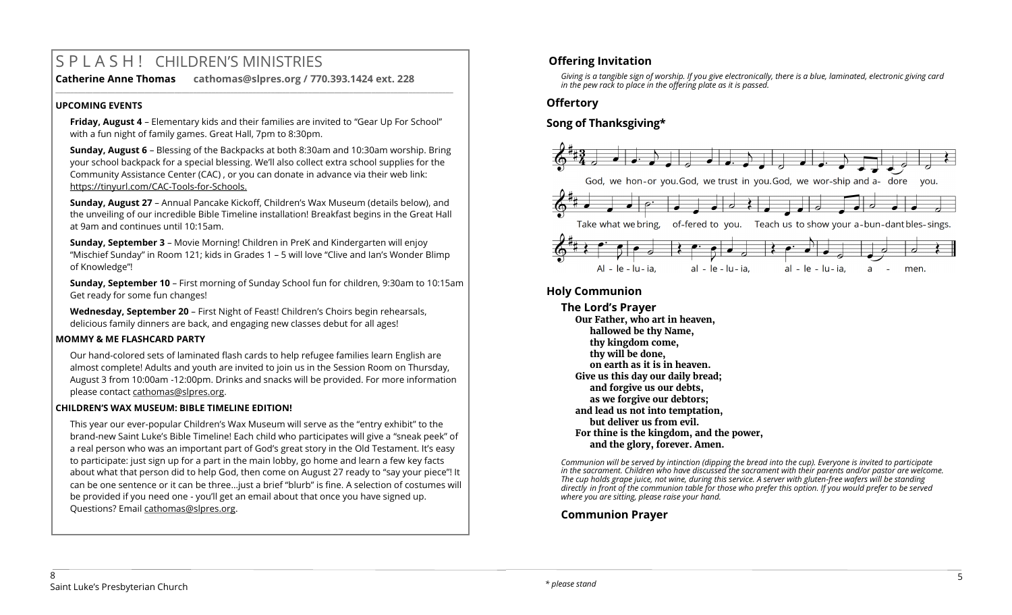# S P L A S H ! CHILDREN'S MINISTRIES

**Catherine Anne Thomas cathomas@slpres.org / 770.393.1424 ext. 228 \_\_\_\_\_\_\_\_\_\_\_\_\_\_\_\_\_\_\_\_\_\_\_\_\_\_\_\_\_\_\_\_\_\_\_\_\_\_\_\_\_\_\_\_\_\_\_\_\_\_\_\_\_\_\_\_\_\_\_\_\_\_\_\_\_\_\_\_\_\_\_\_\_\_\_\_\_\_\_\_\_\_\_\_\_\_\_\_\_\_\_\_\_\_\_\_\_\_\_\_\_\_\_\_\_\_\_** 

#### **UPCOMING EVENTS**

**Friday, August 4** – Elementary kids and their families are invited to "Gear Up For School" with a fun night of family games. Great Hall, 7pm to 8:30pm.

**Sunday, August 6** – Blessing of the Backpacks at both 8:30am and 10:30am worship. Bring your school backpack for a special blessing. We'll also collect extra school supplies for the Community Assistance Center (CAC) , or you can donate in advance via their web link: https://tinyurl.com/CAC-Tools-for-Schools.

**Sunday, August 27** – Annual Pancake Kickoff, Children's Wax Museum (details below), and the unveiling of our incredible Bible Timeline installation! Breakfast begins in the Great Hall at 9am and continues until 10:15am.

**Sunday, September 3** – Movie Morning! Children in PreK and Kindergarten will enjoy "Mischief Sunday" in Room 121; kids in Grades 1 – 5 will love "Clive and Ian's Wonder Blimp of Knowledge"!

**Sunday, September 10** – First morning of Sunday School fun for children, 9:30am to 10:15am Get ready for some fun changes!

**Wednesday, September 20** – First Night of Feast! Children's Choirs begin rehearsals, delicious family dinners are back, and engaging new classes debut for all ages!

#### **MOMMY & ME FLASHCARD PARTY**

Our hand-colored sets of laminated flash cards to help refugee families learn English are almost complete! Adults and youth are invited to join us in the Session Room on Thursday, August 3 from 10:00am -12:00pm. Drinks and snacks will be provided. For more information please contact [cathomas@slpres.org.](mailto:cathomas@slpres.org)

#### **CHILDREN'S WAX MUSEUM: BIBLE TIMELINE EDITION!**

This year our ever-popular Children's Wax Museum will serve as the "entry exhibit" to the brand-new Saint Luke's Bible Timeline! Each child who participates will give a "sneak peek" of a real person who was an important part of God's great story in the Old Testament. It's easy to participate: just sign up for a part in the main lobby, go home and learn a few key facts about what that person did to help God, then come on August 27 ready to "say your piece"! It can be one sentence or it can be three…just a brief "blurb" is fine. A selection of costumes will be provided if you need one - you'll get an email about that once you have signed up. Questions? Email [cathomas@slpres.org.](mailto:cathomas@slpres.org)

# **Offering Invitation**

*Giving is a tangible sign of worship. If you give electronically, there is a blue, laminated, electronic giving card in the pew rack to place in the offering plate as it is passed.*

# **Offertory**

# **Song of Thanksgiving\***



# **Holy Communion**

**The Lord's Prayer Our Father, who art in heaven, hallowed be thy Name, thy kingdom come, thy will be done, on earth as it is in heaven. Give us this day our daily bread; and forgive us our debts, as we forgive our debtors; and lead us not into temptation, but deliver us from evil. For thine is the kingdom, and the power, and the glory, forever. Amen.**

*Communion will be served by intinction (dipping the bread into the cup). Everyone is invited to participate in the sacrament. Children who have discussed the sacrament with their parents and/or pastor are welcome. The cup holds grape juice, not wine, during this service. A server with gluten-free wafers will be standing directly in front of the communion table for those who prefer this option. If you would prefer to be served where you are sitting, please raise your hand.* 

# **Communion Prayer**